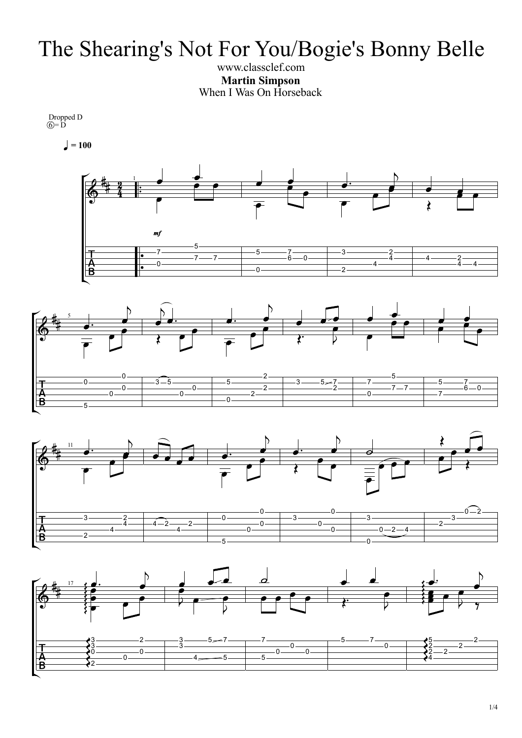## The Shearing's Not For You/Bogie's Bonny Belle

www.classclef.com **Martin Simpson** When I Was On Horseback

Dropped D  $\widehat{O} = \overline{D}$ 

 $= 100$ 







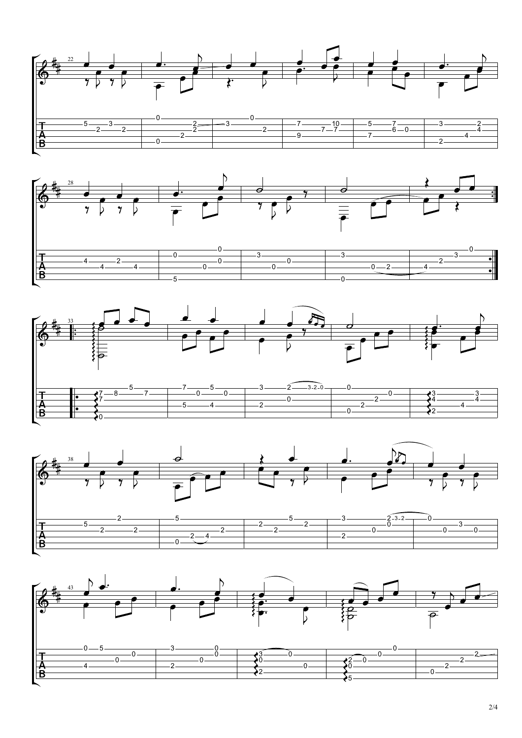







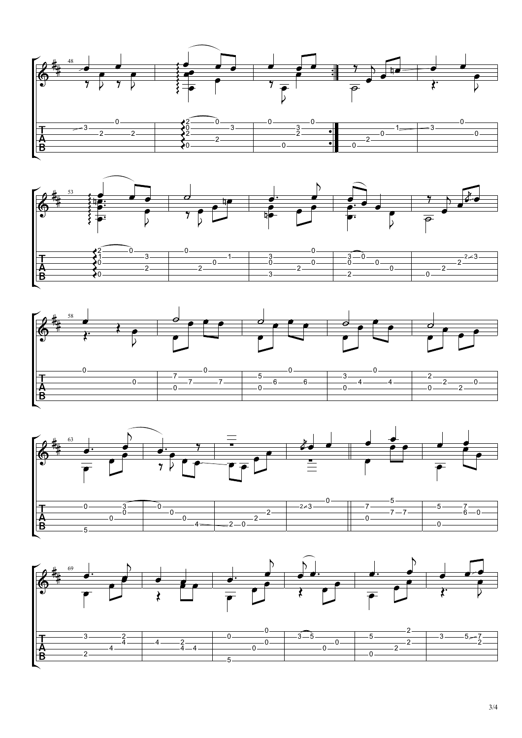